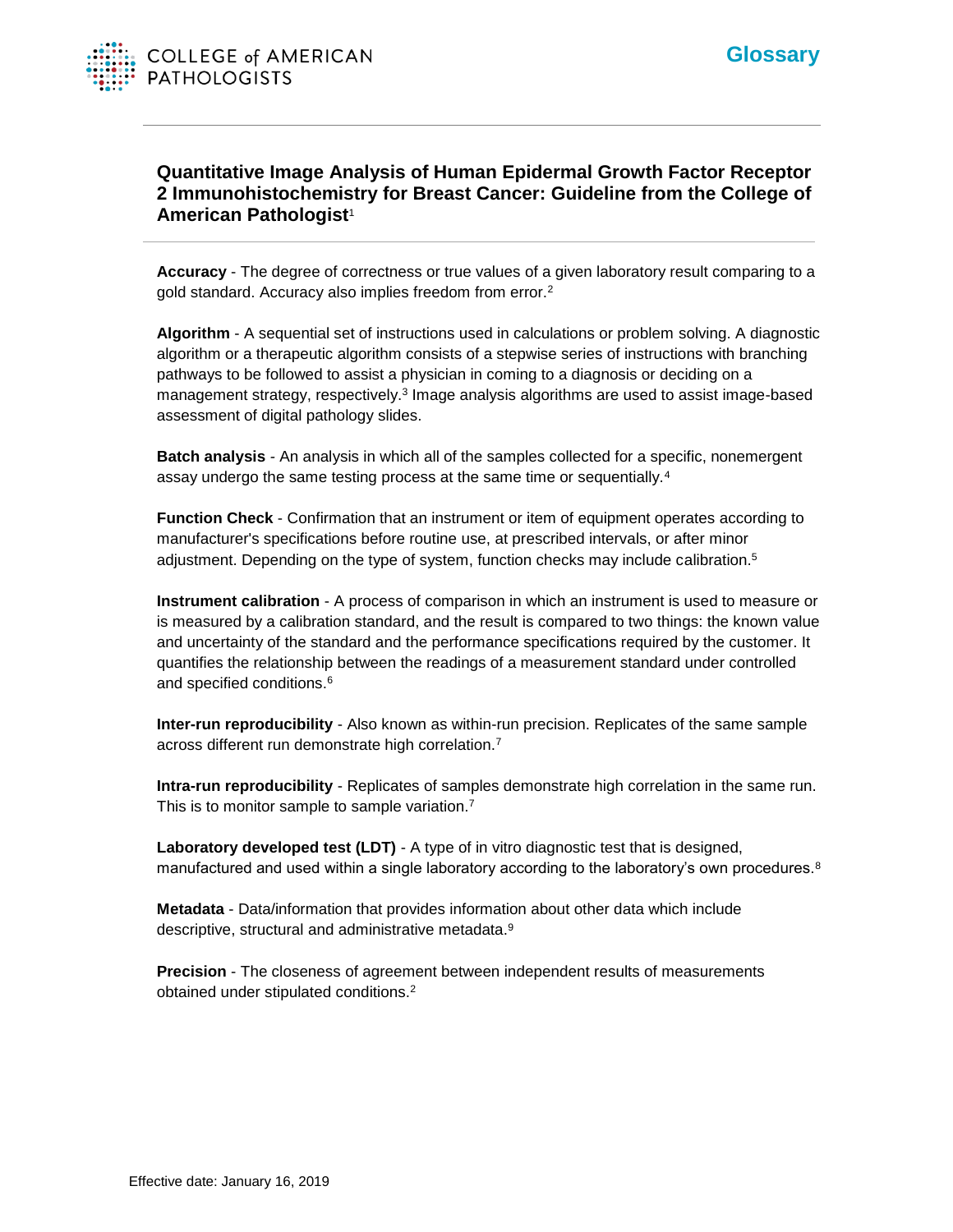## **Quantitative Image Analysis of Human Epidermal Growth Factor Receptor 2 Immunohistochemistry for Breast Cancer: Guideline from the College of American Pathologist**<sup>1</sup>

**Accuracy** - The degree of correctness or true values of a given laboratory result comparing to a gold standard. Accuracy also implies freedom from error.<sup>2</sup>

**Algorithm** - A sequential set of instructions used in calculations or problem solving. A diagnostic algorithm or a therapeutic algorithm consists of a stepwise series of instructions with branching pathways to be followed to assist a physician in coming to a diagnosis or deciding on a management strategy, respectively.<sup>3</sup> Image analysis algorithms are used to assist image-based assessment of digital pathology slides.

**Batch analysis** *-* An analysis in which all of the samples collected for a specific, nonemergent assay undergo the same testing process at the same time or sequentially.<sup>4</sup>

**Function Check** - Confirmation that an instrument or item of equipment operates according to manufacturer's specifications before routine use, at prescribed intervals, or after minor adjustment. Depending on the type of system, function checks may include calibration.<sup>5</sup>

**Instrument calibration** - A process of comparison in which an instrument is used to measure or is measured by a calibration standard, and the result is compared to two things: the known value and uncertainty of the standard and the performance specifications required by the customer. It quantifies the relationship between the readings of a measurement standard under controlled and specified conditions.<sup>6</sup>

**Inter-run reproducibility** - Also known as within-run precision. Replicates of the same sample across different run demonstrate high correlation.<sup>7</sup>

**Intra-run reproducibility** - Replicates of samples demonstrate high correlation in the same run. This is to monitor sample to sample variation.<sup>7</sup>

**Laboratory developed test (LDT)** - A type of in vitro diagnostic test that is designed, manufactured and used within a single laboratory according to the laboratory's own procedures.<sup>8</sup>

**Metadata** - Data/information that provides information about other data which include descriptive, structural and administrative metadata.<sup>9</sup>

**Precision** - The closeness of agreement between independent results of measurements obtained under stipulated conditions.2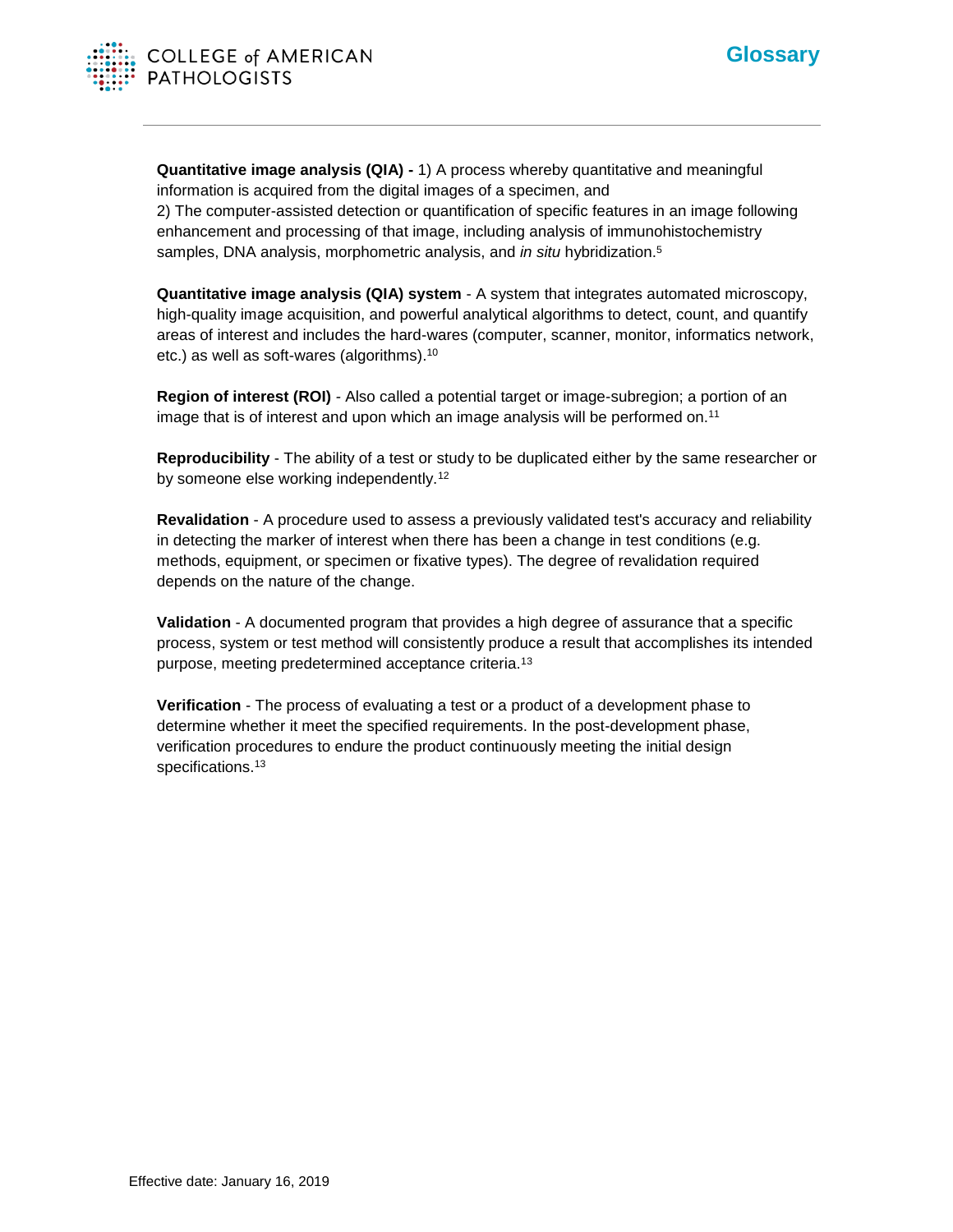

**Quantitative image analysis (QIA) -** 1) A process whereby quantitative and meaningful information is acquired from the digital images of a specimen, and 2) The computer-assisted detection or quantification of specific features in an image following enhancement and processing of that image, including analysis of immunohistochemistry samples, DNA analysis, morphometric analysis, and *in situ* hybridization.<sup>5</sup>

**Quantitative image analysis (QIA) system** - A system that integrates automated microscopy, high-quality image acquisition, and powerful analytical algorithms to detect, count, and quantify areas of interest and includes the hard-wares (computer, scanner, monitor, informatics network, etc.) as well as soft-wares (algorithms).<sup>10</sup>

**Region of interest (ROI)** *-* Also called a potential target or image-subregion; a portion of an image that is of interest and upon which an image analysis will be performed on.<sup>11</sup>

**Reproducibility** - The ability of a test or study to be duplicated either by the same researcher or by someone else working independently.<sup>12</sup>

**Revalidation** - A procedure used to assess a previously validated test's accuracy and reliability in detecting the marker of interest when there has been a change in test conditions (e.g. methods, equipment, or specimen or fixative types). The degree of revalidation required depends on the nature of the change.

**Validation** - A documented program that provides a high degree of assurance that a specific process, system or test method will consistently produce a result that accomplishes its intended purpose, meeting predetermined acceptance criteria.<sup>13</sup>

**Verification** - The process of evaluating a test or a product of a development phase to determine whether it meet the specified requirements. In the post-development phase, verification procedures to endure the product continuously meeting the initial design specifications.<sup>13</sup>